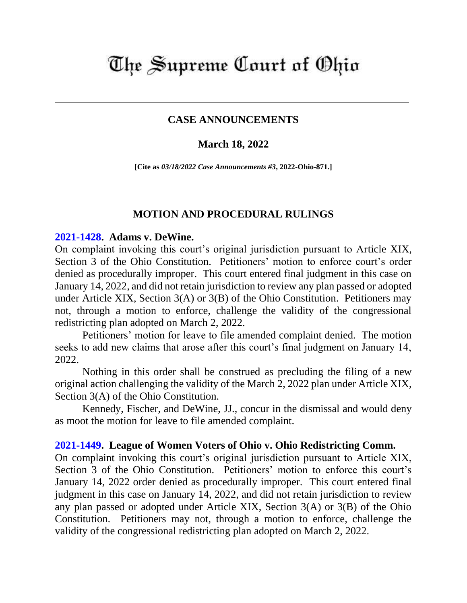# The Supreme Court of Ohio

## **CASE ANNOUNCEMENTS**

### **March 18, 2022**

**[Cite as** *03/18/2022 Case Announcements #3***, 2022-Ohio-871.]**

### **MOTION AND PROCEDURAL RULINGS**

#### **[2021-1428.](https://www.supremecourt.ohio.gov/Clerk/ecms/#/caseinfo/2021/1428) Adams v. DeWine.**

On complaint invoking this court's original jurisdiction pursuant to Article XIX, Section 3 of the Ohio Constitution. Petitioners' motion to enforce court's order denied as procedurally improper. This court entered final judgment in this case on January 14, 2022, and did not retain jurisdiction to review any plan passed or adopted under Article XIX, Section 3(A) or 3(B) of the Ohio Constitution. Petitioners may not, through a motion to enforce, challenge the validity of the congressional redistricting plan adopted on March 2, 2022.

Petitioners' motion for leave to file amended complaint denied. The motion seeks to add new claims that arose after this court's final judgment on January 14, 2022.

Nothing in this order shall be construed as precluding the filing of a new original action challenging the validity of the March 2, 2022 plan under Article XIX, Section 3(A) of the Ohio Constitution.

Kennedy, Fischer, and DeWine, JJ., concur in the dismissal and would deny as moot the motion for leave to file amended complaint.

### **[2021-1449.](https://www.supremecourt.ohio.gov/Clerk/ecms/#/caseinfo/2021/1449) League of Women Voters of Ohio v. Ohio Redistricting Comm.**

On complaint invoking this court's original jurisdiction pursuant to Article XIX, Section 3 of the Ohio Constitution. Petitioners' motion to enforce this court's January 14, 2022 order denied as procedurally improper. This court entered final judgment in this case on January 14, 2022, and did not retain jurisdiction to review any plan passed or adopted under Article XIX, Section 3(A) or 3(B) of the Ohio Constitution. Petitioners may not, through a motion to enforce, challenge the validity of the congressional redistricting plan adopted on March 2, 2022.